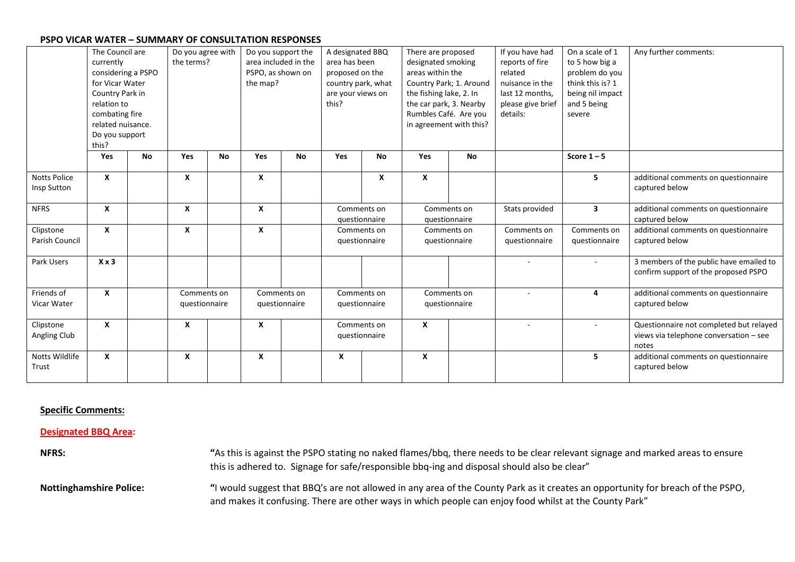|                                    | The Council are<br>currently<br>considering a PSPO<br>for Vicar Water<br>Country Park in<br>relation to<br>combating fire<br>related nuisance.<br>Do you support<br>this? |           | Do you agree with<br>the terms? |           | Do you support the<br>area included in the<br>PSPO, as shown on<br>the map? |           | A designated BBQ<br>area has been<br>proposed on the<br>country park, what<br>are your views on<br>this? |                              | There are proposed<br>designated smoking<br>areas within the<br>Country Park; 1. Around<br>the fishing lake, 2. In<br>the car park, 3. Nearby<br>Rumbles Café. Are you<br>in agreement with this? |           | If you have had<br>reports of fire<br>related<br>nuisance in the<br>last 12 months,<br>please give brief<br>details: | On a scale of 1<br>to 5 how big a<br>problem do you<br>think this is? 1<br>being nil impact<br>and 5 being<br>severe | Any further comments:                                                                      |
|------------------------------------|---------------------------------------------------------------------------------------------------------------------------------------------------------------------------|-----------|---------------------------------|-----------|-----------------------------------------------------------------------------|-----------|----------------------------------------------------------------------------------------------------------|------------------------------|---------------------------------------------------------------------------------------------------------------------------------------------------------------------------------------------------|-----------|----------------------------------------------------------------------------------------------------------------------|----------------------------------------------------------------------------------------------------------------------|--------------------------------------------------------------------------------------------|
|                                    | Yes                                                                                                                                                                       | <b>No</b> | Yes                             | <b>No</b> | <b>Yes</b>                                                                  | <b>No</b> | Yes                                                                                                      | No                           | <b>Yes</b>                                                                                                                                                                                        | <b>No</b> |                                                                                                                      | Score $1 - 5$                                                                                                        |                                                                                            |
| <b>Notts Police</b><br>Insp Sutton | X                                                                                                                                                                         |           | X                               |           | X                                                                           |           |                                                                                                          | X                            | X                                                                                                                                                                                                 |           |                                                                                                                      | 5                                                                                                                    | additional comments on questionnaire<br>captured below                                     |
| <b>NFRS</b>                        | X                                                                                                                                                                         |           | X                               |           | X                                                                           |           | Comments on<br>questionnaire                                                                             |                              | Comments on<br>questionnaire                                                                                                                                                                      |           | Stats provided                                                                                                       | 3                                                                                                                    | additional comments on questionnaire<br>captured below                                     |
| Clipstone<br>Parish Council        | $\boldsymbol{x}$                                                                                                                                                          |           | X                               |           | X                                                                           |           | Comments on<br>questionnaire                                                                             |                              | Comments on<br>questionnaire                                                                                                                                                                      |           | Comments on<br>questionnaire                                                                                         | Comments on<br>questionnaire                                                                                         | additional comments on questionnaire<br>captured below                                     |
| Park Users                         | $X \times 3$                                                                                                                                                              |           |                                 |           |                                                                             |           |                                                                                                          |                              |                                                                                                                                                                                                   |           |                                                                                                                      |                                                                                                                      | 3 members of the public have emailed to<br>confirm support of the proposed PSPO            |
| Friends of<br>Vicar Water          | $\boldsymbol{x}$                                                                                                                                                          |           | Comments on<br>questionnaire    |           | Comments on<br>questionnaire                                                |           | Comments on<br>questionnaire                                                                             |                              | Comments on<br>questionnaire                                                                                                                                                                      |           |                                                                                                                      | 4                                                                                                                    | additional comments on questionnaire<br>captured below                                     |
| Clipstone<br>Angling Club          | X                                                                                                                                                                         |           | X                               |           | X                                                                           |           |                                                                                                          | Comments on<br>questionnaire | $\mathbf{x}$                                                                                                                                                                                      |           |                                                                                                                      |                                                                                                                      | Questionnaire not completed but relayed<br>views via telephone conversation - see<br>notes |
| Notts Wildlife<br>Trust            | X                                                                                                                                                                         |           | X                               |           | X                                                                           |           | X                                                                                                        |                              | X                                                                                                                                                                                                 |           |                                                                                                                      | 5                                                                                                                    | additional comments on questionnaire<br>captured below                                     |

#### **Specific Comments:**

#### **Designated BBQ Area:**

**NFRS: "**As this is against the PSPO stating no naked flames/bbq, there needs to be clear relevant signage and marked areas to ensure this is adhered to. Signage for safe/responsible bbq-ing and disposal should also be clear"

**Nottinghamshire Police: "**I would suggest that BBQ's are not allowed in any area of the County Park as it creates an opportunity for breach of the PSPO, and makes it confusing. There are other ways in which people can enjoy food whilst at the County Park"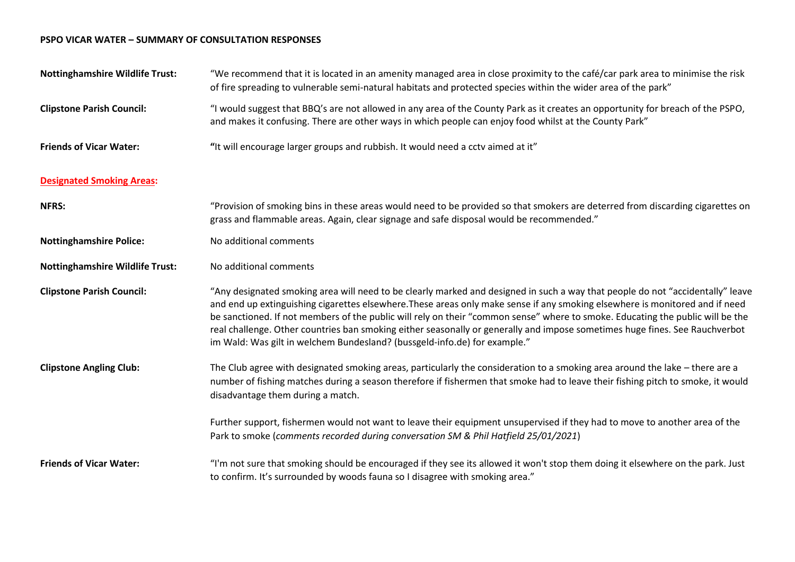| <b>Nottinghamshire Wildlife Trust:</b> | "We recommend that it is located in an amenity managed area in close proximity to the café/car park area to minimise the risk<br>of fire spreading to vulnerable semi-natural habitats and protected species within the wider area of the park"                                                                                                                                                                                                                                                                                                                                                              |
|----------------------------------------|--------------------------------------------------------------------------------------------------------------------------------------------------------------------------------------------------------------------------------------------------------------------------------------------------------------------------------------------------------------------------------------------------------------------------------------------------------------------------------------------------------------------------------------------------------------------------------------------------------------|
| <b>Clipstone Parish Council:</b>       | "I would suggest that BBQ's are not allowed in any area of the County Park as it creates an opportunity for breach of the PSPO,<br>and makes it confusing. There are other ways in which people can enjoy food whilst at the County Park"                                                                                                                                                                                                                                                                                                                                                                    |
| <b>Friends of Vicar Water:</b>         | "It will encourage larger groups and rubbish. It would need a cctv aimed at it"                                                                                                                                                                                                                                                                                                                                                                                                                                                                                                                              |
| <b>Designated Smoking Areas:</b>       |                                                                                                                                                                                                                                                                                                                                                                                                                                                                                                                                                                                                              |
| <b>NFRS:</b>                           | "Provision of smoking bins in these areas would need to be provided so that smokers are deterred from discarding cigarettes on<br>grass and flammable areas. Again, clear signage and safe disposal would be recommended."                                                                                                                                                                                                                                                                                                                                                                                   |
| <b>Nottinghamshire Police:</b>         | No additional comments                                                                                                                                                                                                                                                                                                                                                                                                                                                                                                                                                                                       |
| <b>Nottinghamshire Wildlife Trust:</b> | No additional comments                                                                                                                                                                                                                                                                                                                                                                                                                                                                                                                                                                                       |
| <b>Clipstone Parish Council:</b>       | "Any designated smoking area will need to be clearly marked and designed in such a way that people do not "accidentally" leave<br>and end up extinguishing cigarettes elsewhere. These areas only make sense if any smoking elsewhere is monitored and if need<br>be sanctioned. If not members of the public will rely on their "common sense" where to smoke. Educating the public will be the<br>real challenge. Other countries ban smoking either seasonally or generally and impose sometimes huge fines. See Rauchverbot<br>im Wald: Was gilt in welchem Bundesland? (bussgeld-info.de) for example." |
| <b>Clipstone Angling Club:</b>         | The Club agree with designated smoking areas, particularly the consideration to a smoking area around the lake - there are a<br>number of fishing matches during a season therefore if fishermen that smoke had to leave their fishing pitch to smoke, it would<br>disadvantage them during a match.                                                                                                                                                                                                                                                                                                         |
|                                        | Further support, fishermen would not want to leave their equipment unsupervised if they had to move to another area of the<br>Park to smoke (comments recorded during conversation SM & Phil Hatfield 25/01/2021)                                                                                                                                                                                                                                                                                                                                                                                            |
| <b>Friends of Vicar Water:</b>         | "I'm not sure that smoking should be encouraged if they see its allowed it won't stop them doing it elsewhere on the park. Just<br>to confirm. It's surrounded by woods fauna so I disagree with smoking area."                                                                                                                                                                                                                                                                                                                                                                                              |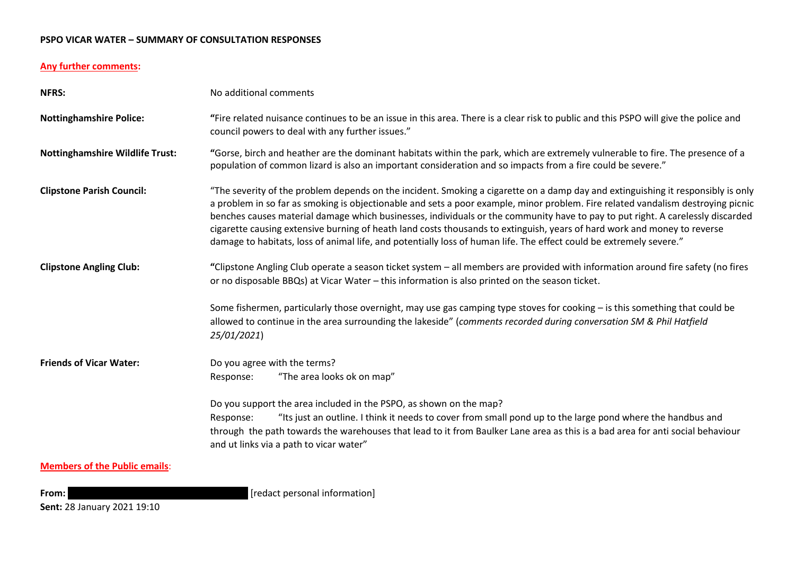# **Any further comments:**

| <b>NFRS:</b>                           | No additional comments                                                                                                                                                                                                                                                                                                                                                                                                                                                                                                                                                                                                                                    |  |  |  |  |  |  |
|----------------------------------------|-----------------------------------------------------------------------------------------------------------------------------------------------------------------------------------------------------------------------------------------------------------------------------------------------------------------------------------------------------------------------------------------------------------------------------------------------------------------------------------------------------------------------------------------------------------------------------------------------------------------------------------------------------------|--|--|--|--|--|--|
| <b>Nottinghamshire Police:</b>         | "Fire related nuisance continues to be an issue in this area. There is a clear risk to public and this PSPO will give the police and<br>council powers to deal with any further issues."                                                                                                                                                                                                                                                                                                                                                                                                                                                                  |  |  |  |  |  |  |
| <b>Nottinghamshire Wildlife Trust:</b> | "Gorse, birch and heather are the dominant habitats within the park, which are extremely vulnerable to fire. The presence of a<br>population of common lizard is also an important consideration and so impacts from a fire could be severe."                                                                                                                                                                                                                                                                                                                                                                                                             |  |  |  |  |  |  |
| <b>Clipstone Parish Council:</b>       | "The severity of the problem depends on the incident. Smoking a cigarette on a damp day and extinguishing it responsibly is only<br>a problem in so far as smoking is objectionable and sets a poor example, minor problem. Fire related vandalism destroying picnic<br>benches causes material damage which businesses, individuals or the community have to pay to put right. A carelessly discarded<br>cigarette causing extensive burning of heath land costs thousands to extinguish, years of hard work and money to reverse<br>damage to habitats, loss of animal life, and potentially loss of human life. The effect could be extremely severe." |  |  |  |  |  |  |
| <b>Clipstone Angling Club:</b>         | "Clipstone Angling Club operate a season ticket system – all members are provided with information around fire safety (no fires<br>or no disposable BBQs) at Vicar Water - this information is also printed on the season ticket.                                                                                                                                                                                                                                                                                                                                                                                                                         |  |  |  |  |  |  |
|                                        | Some fishermen, particularly those overnight, may use gas camping type stoves for cooking - is this something that could be<br>allowed to continue in the area surrounding the lakeside" (comments recorded during conversation SM & Phil Hatfield<br>25/01/2021)                                                                                                                                                                                                                                                                                                                                                                                         |  |  |  |  |  |  |
| <b>Friends of Vicar Water:</b>         | Do you agree with the terms?<br>"The area looks ok on map"<br>Response:                                                                                                                                                                                                                                                                                                                                                                                                                                                                                                                                                                                   |  |  |  |  |  |  |
|                                        | Do you support the area included in the PSPO, as shown on the map?<br>"Its just an outline. I think it needs to cover from small pond up to the large pond where the handbus and<br>Response:<br>through the path towards the warehouses that lead to it from Baulker Lane area as this is a bad area for anti social behaviour<br>and ut links via a path to vicar water"                                                                                                                                                                                                                                                                                |  |  |  |  |  |  |
| <b>Members of the Public emails:</b>   |                                                                                                                                                                                                                                                                                                                                                                                                                                                                                                                                                                                                                                                           |  |  |  |  |  |  |

**From: Jillian Communist Except** (**personal information**]

**Sent:** 28 January 2021 19:10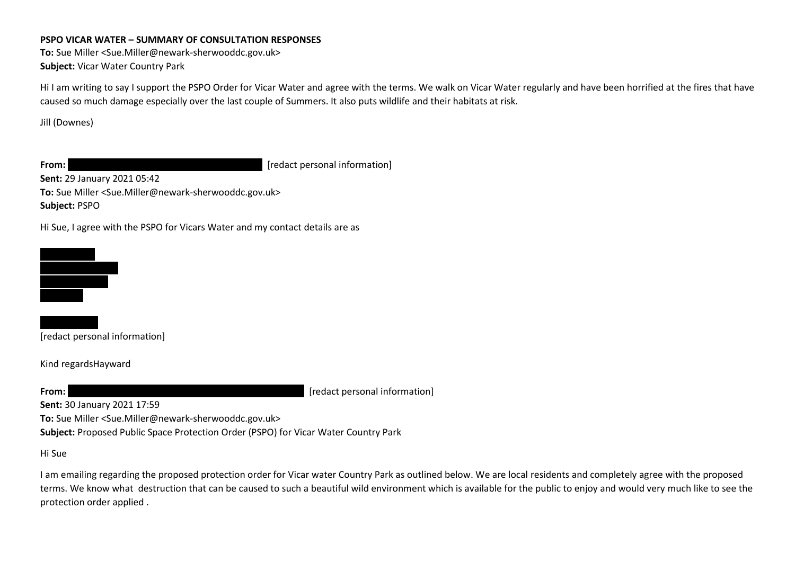**To:** Sue Miller <Sue.Miller@newark-sherwooddc.gov.uk> **Subject:** Vicar Water Country Park

Hi I am writing to say I support the PSPO Order for Vicar Water and agree with the terms. We walk on Vicar Water regularly and have been horrified at the fires that have caused so much damage especially over the last couple of Summers. It also puts wildlife and their habitats at risk.

Jill (Downes)

**From: Lynnet Command Command Command Command Command (Fedact personal information)** 

**Sent:** 29 January 2021 05:42 **To:** Sue Miller <Sue.Miller@newark-sherwooddc.gov.uk>

**Subject:** PSPO

Hi Sue, I agree with the PSPO for Vicars Water and my contact details are as



[redact personal information]

Kind regardsHayward

**From: wendy Example 2008** [redact personal information]

**Sent:** 30 January 2021 17:59

**To:** Sue Miller <Sue.Miller@newark-sherwooddc.gov.uk>

**Subject:** Proposed Public Space Protection Order (PSPO) for Vicar Water Country Park

Hi Sue

I am emailing regarding the proposed protection order for Vicar water Country Park as outlined below. We are local residents and completely agree with the proposed terms. We know what destruction that can be caused to such a beautiful wild environment which is available for the public to enjoy and would very much like to see the protection order applied .